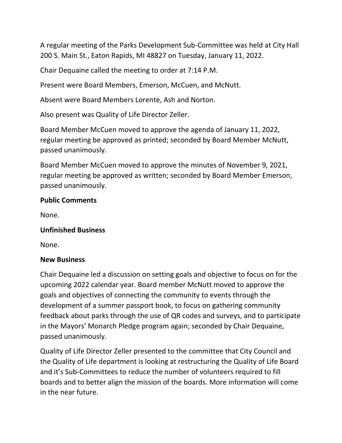A regular meeting of the Parks Development Sub-Committee was held at City Hall 200 S. Main St., Eaton Rapids, MI 48827 on Tuesday, January 11, 2022.

Chair Dequaine called the meeting to order at 7:14 P.M.

Present were Board Members, Emerson, McCuen, and McNutt.

Absent were Board Members Lorente, Ash and Norton.

Also present was Quality of Life Director Zeller.

Board Member McCuen moved to approve the agenda of January 11, 2022, regular meeting be approved as printed; seconded by Board Member McNutt, passed unanimously.

Board Member McCuen moved to approve the minutes of November 9, 2021, regular meeting be approved as written; seconded by Board Member Emerson, passed unanimously.

### **Public Comments**

None.

### **Unfinished Business**

None.

### **New Business**

Chair Dequaine led a discussion on setting goals and objective to focus on for the upcoming 2022 calendar year. Board member McNutt moved to approve the goals and objectives of connecting the community to events through the development of a summer passport book, to focus on gathering community feedback about parks through the use of QR codes and surveys, and to participate in the Mayors' Monarch Pledge program again; seconded by Chair Dequaine, passed unanimously.

Quality of Life Director Zeller presented to the committee that City Council and the Quality of Life department is looking at restructuring the Quality of Life Board and it's Sub-Committees to reduce the number of volunteers required to fill boards and to better align the mission of the boards. More information will come in the near future.